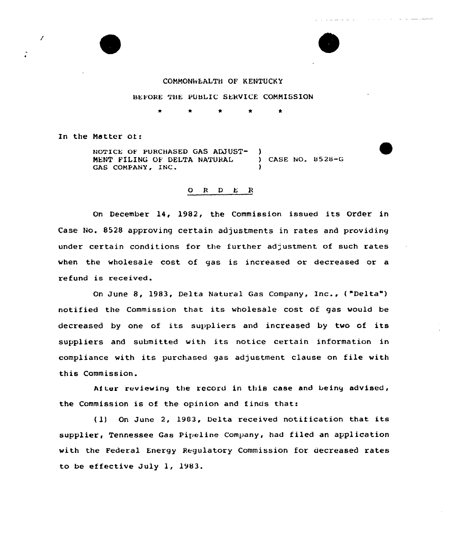# COMMONWEALTH OF KENTUCKY

#### BEFORE THE PUBLIC SERVICE COMMISSION

In the Matter ot:

7

NOTICE OF PURCHASED GAS ADJUST-MENT FILING OE DELTA NATURAL GAS COMPANY, INC. )<br>) CASE NO. <mark>052</mark>8-G )

# $O$  R  $D$  E R

On December 14, 1982, the Commission issued its Order in Case No. 8528 approving certain adjustments in rates and providing under certain conditions for the further adjustment of such rates when the wholesale cost of gas is increased or decreased or a refund is received.

On June 8, 1983, Delta Natural Gas Company, Inc., ( "Delta" ) notified the Commission that its wholesale cost of gas would be decreased by one of its suppliers and increased by two of its suppliers and submitted with its notice certain information in compliance with its purchased gas adjustment clause on file with this Commission.

After reviewing the record in this case and being advised, the Commission is of the opinion and finds that:

( 1) On June 2, 1903, Delta received notification that its supplier, Tennessee Gas Pipeline Company, had filed an application with the Federal Energy Regulatory Commission for decreased rates to be ef fective July 1, 1983.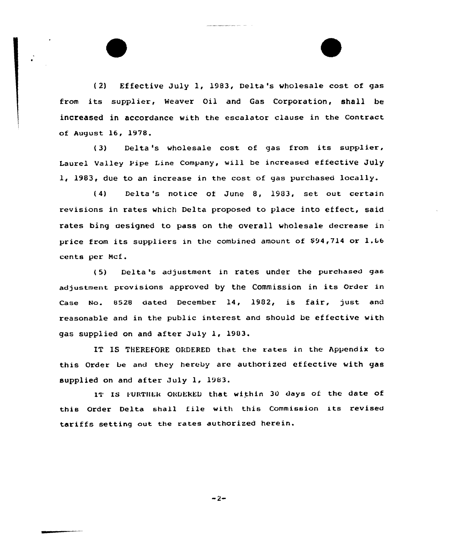(2) Effective July 1, 1983, Delta's wholesale cost cf gas from its supplier, Weaver Oil and Gas Corporation, shall be increased in accordance with the escalator clause in the Contract of August 16, 1978.

(3) Delta 's wholesale cost of gas from its supplier, Laurel Valley Pipe Line Company, will be increased effective July 1, 1983, due to an increase in the cost of gas purchased locally.

(4) Delta 's notice of June 8, 1903, set out certain revisions in rates which Delta proposed to place into effect, said rates bing aesigned to pass on the overall wholesale decrease in price from its suppliers in the combined amount of \$94,714 or 1.66 cents per Mcf.

( 5) Delta 's adjustment in rates under the purchased gas adjustment provisions approved by the Commission in its order in Case No. 8528 dated December 14, 1982, is fair, just and reasonable and in the public interest and should be ef fective with gas supplied on and after July 1, 1903.

IT IS THEREFORE ORDERED that the rates in the Appendix to this Order be and they hereby are authorized effective with gas supplied on and after July 1, 1983.

IT IS FURTHER ORDERED that within 30 days of the date of this Order Delta shall file with this Commission its revised tariffs setting out the rates authorized herein.

 $-2-$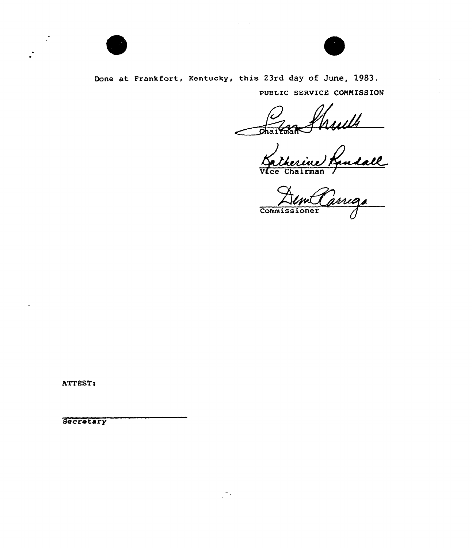



Done at Frankfort, Kentucky, this 23rd day of June, 1983. PUBLIC SERVICE COMMISSION

France Rulls<br>Wice Chairman Rudall

Commissioner

ATTEST:

Secretary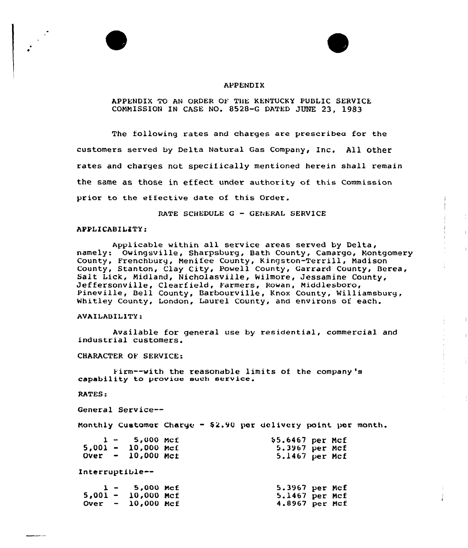

### APPENDIX TO AN ORDER OF THE KENTUCKY PUBLIC SERVICE COMMISSION IN CASE NQ. 8528-G DATED JUNE 23, 1983

The following rates and charges are prescribea for the customers served by Delta Natural Gas Company, Inc. All other rates and charges not specifically mentioned herein shall remain the same as those in effeet under authority of this Commission prior to the effective date of this Order.

RATE SCHEDULE <sup>G</sup> — GENERAL SERVICE

#### APPLICABILITY:

Applicable within all service areas served by Delta, namely: Owingsville, Sharpsburg, Bath County, Camargo, Montgomery County, Fxenchbuxg, Nenifee County, Kingston-Terrill, Madison County, Stanton, Clay City, Powell County, Garrard County, Berea,<br>Salt Lick, Midland, Nicholasville, Wilmore, Jessamine County,<br>Jeffersonville, Clearfield, Farmers, Rowan, Middlesboro, Pineville, Bell County, Barbourville, Knox County, Williamsburg, Whitley County, London, Laurel County, and environs of each.

 $\parallel$ 

 $\sim$  1

#### AVAILABIl ITY:

Available for general use by residential, commercial and industrial customers.

CHARACTER OF SERVICE:

Firm--with the reasonable limits of the company 's capability to provide such service.

RATES:

General Service--

Monthly Customer Charge - S2.90 per delivery point par month.

|  | $1 - 5,000$ Mcf      | \$5.6467 per Mcf |  |
|--|----------------------|------------------|--|
|  | $5,001 - 10,000$ Mcf | 5.3967 per Mcf   |  |
|  | $Over - 10,000$ Mct  | $5.1467$ per Mcf |  |

Interruptible--

|  | $1 - 5,000$ McE      | 5.3967 per Mcf |  |
|--|----------------------|----------------|--|
|  | $5,001 - 10,000$ Mcf | 5.1467 per Mcf |  |
|  | Over $-10,000$ Mcf   | 4.8967 per Mcf |  |